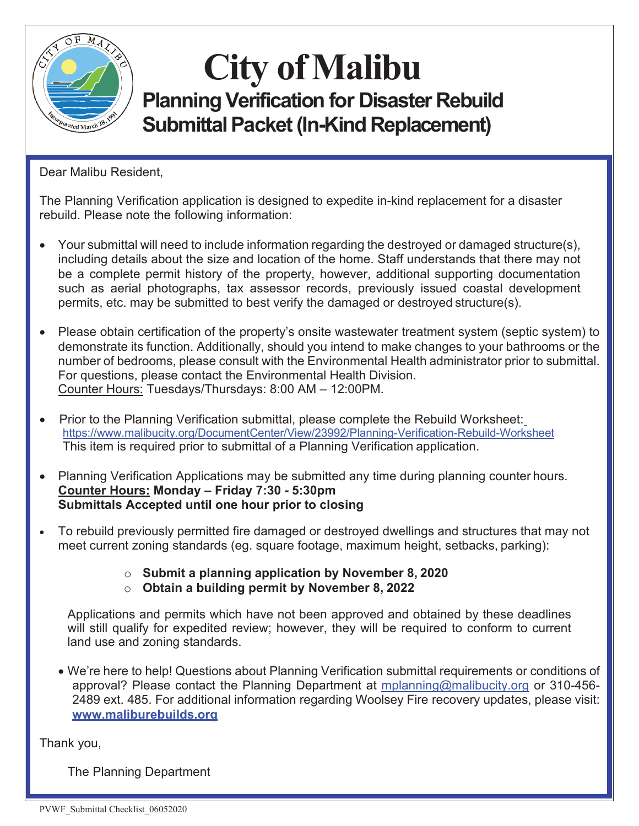

## **City ofMalibu Planning Verification for Disaster Rebuild Submittal Packet (In-Kind Replacement)**

Dear Malibu Resident,

The Planning Verification application is designed to expedite in-kind replacement for a disaster rebuild. Please note the following information:

- Your submittal will need to include information regarding the destroyed or damaged structure(s), including details about the size and location of the home. Staff understands that there may not be a complete permit history of the property, however, additional supporting documentation such as aerial photographs, tax assessor records, previously issued coastal development permits, etc. may be submitted to best verify the damaged or destroyed structure(s).
- Please obtain certification of the property's onsite wastewater treatment system (septic system) to demonstrate its function. Additionally, should you intend to make changes to your bathrooms or the number of bedrooms, please consult with the Environmental Health administrator prior to submittal. For questions, please contact the Environmental Health Division. Counter Hours: Tuesdays/Thursdays: 8:00 AM – 12:00PM.
- Prior to the Planning Verification submittal, please complete the Rebuild Worksheet: https:/[/www.malibucity.org/DocumentCenter/View/23992/Planning-Verification-Rebuild-Worksheet](http://www.malibucity.org/DocumentCenter/View/23992/Planning-Verification-Rebuild-Worksheet) This item is required prior to submittal of a Planning Verification application.
- Planning Verification Applications may be submitted any time during planning counter hours. **Counter Hours: Monday – Friday 7:30 - 5:30pm Submittals Accepted until one hour prior to closing**
- To rebuild previously permitted fire damaged or destroyed dwellings and structures that may not meet current zoning standards (eg. square footage, maximum height, setbacks, parking):
	- o **Submit a planning application by November 8, 2020**
	- o **Obtain a building permit by November 8, 2022**

Applications and permits which have not been approved and obtained by these deadlines will still qualify for expedited review; however, they will be required to conform to current land use and zoning standards.

• We're here to help! Questions about Planning Verification submittal requirements or conditions of approval? Please contact the Planning Department at [mplanning@malibucity.org](mailto:mplanning@malibucity.org) or 310-456- 2489 ext. 485. For additional information regarding Woolsey Fire recovery updates, please visit[:](http://www.maliburebuilds.org/) **[www.maliburebuilds.org](http://www.maliburebuilds.org/)**

Thank you,

The Planning Department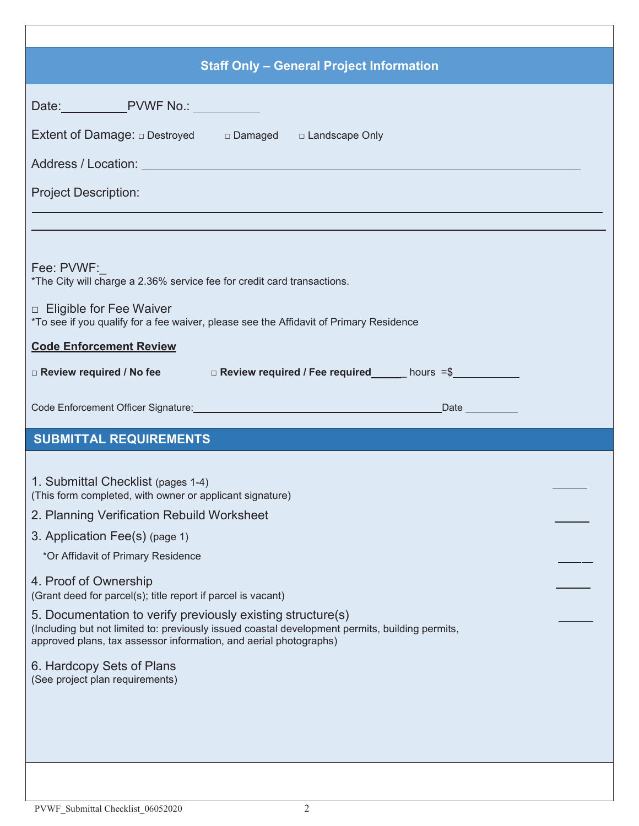| <b>Staff Only - General Project Information</b>                                                                                                                                                                                     |  |
|-------------------------------------------------------------------------------------------------------------------------------------------------------------------------------------------------------------------------------------|--|
| Date: PVWF No.: ____________                                                                                                                                                                                                        |  |
| Extent of Damage: $\Box$ Destroyed $\Box$ Damaged $\Box$ Landscape Only                                                                                                                                                             |  |
|                                                                                                                                                                                                                                     |  |
| <b>Project Description:</b>                                                                                                                                                                                                         |  |
|                                                                                                                                                                                                                                     |  |
|                                                                                                                                                                                                                                     |  |
| Fee: PVWF:<br>*The City will charge a 2.36% service fee for credit card transactions.                                                                                                                                               |  |
| □ Eligible for Fee Waiver<br>*To see if you qualify for a fee waiver, please see the Affidavit of Primary Residence                                                                                                                 |  |
| <b>Code Enforcement Review</b>                                                                                                                                                                                                      |  |
| □ Review required / No fee □ Review required / Fee required hours =\$                                                                                                                                                               |  |
|                                                                                                                                                                                                                                     |  |
| <b>SUBMITTAL REQUIREMENTS</b>                                                                                                                                                                                                       |  |
|                                                                                                                                                                                                                                     |  |
| 1. Submittal Checklist (pages 1-4)<br>(This form completed, with owner or applicant signature)                                                                                                                                      |  |
| 2. Planning Verification Rebuild Worksheet                                                                                                                                                                                          |  |
| 3. Application Fee(s) (page 1)                                                                                                                                                                                                      |  |
| *Or Affidavit of Primary Residence                                                                                                                                                                                                  |  |
|                                                                                                                                                                                                                                     |  |
| 4. Proof of Ownership<br>(Grant deed for parcel(s); title report if parcel is vacant)                                                                                                                                               |  |
| 5. Documentation to verify previously existing structure(s)<br>(Including but not limited to: previously issued coastal development permits, building permits,<br>approved plans, tax assessor information, and aerial photographs) |  |
| 6. Hardcopy Sets of Plans                                                                                                                                                                                                           |  |
| (See project plan requirements)                                                                                                                                                                                                     |  |
|                                                                                                                                                                                                                                     |  |
|                                                                                                                                                                                                                                     |  |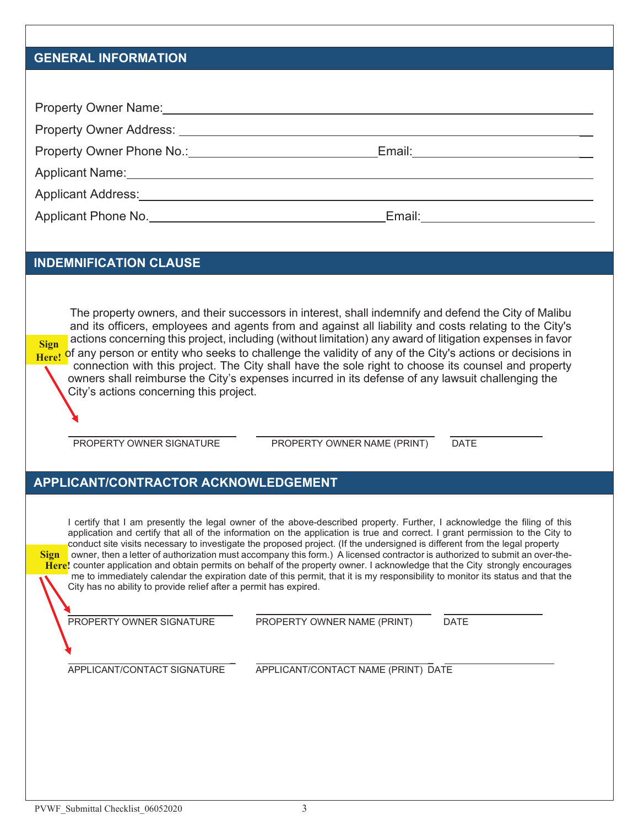#### **GENERAL INFORMATION**

| Property Owner Name: Name: Name: Name: Name: Name: Name: Name: Name: Name: Name: Name: Name: Name: Name: Name: Name: Name: Name: Name: Name: Name: Name: Name: Name: Name: Name: Name: Name: Name: Name: Name: Name: Name: Nam |                               |
|--------------------------------------------------------------------------------------------------------------------------------------------------------------------------------------------------------------------------------|-------------------------------|
|                                                                                                                                                                                                                                |                               |
| Property Owner Phone No.: Property Owner Phone No.:                                                                                                                                                                            | Email: ______________________ |
| Applicant Name: Name and Applicant Name and Applicant Name and Applicant Name and Applicant Applicant Applicant Applicant Applicant Applicant Applicant Applicant Applicant Applicant Applicant Applicant Applicant Applicant  |                               |
| Applicant Address: Applicant Address:                                                                                                                                                                                          |                               |
| Applicant Phone No.                                                                                                                                                                                                            | Email:                        |

#### **INDEMNIFICATION CLAUSE**

The property owners, and their successors in interest, shall indemnify and defend the City of Malibu and its officers, employees and agents from and against all liability and costs relating to the City's **Sign** actions concerning this project, including (without limitation) any award of litigation expenses in favor Here! of any person or entity who seeks to challenge the validity of any of the City's actions or decisions in connection with this project. The City shall have the sole right to choose its counsel and property owners shall reimburse the City's expenses incurred in its defense of any lawsuit challenging the City's actions concerning this project.

PROPERTY OWNER SIGNATURE PROPERTY OWNER NAME (PRINT) DATE

#### **APPLICANT/CONTRACTOR ACKNOWLEDGEMENT**

I certify that I am presently the legal owner of the above-described property. Further, I acknowledge the filing of this application and certify that all of the information on the application is true and correct. I grant permission to the City to conduct site visits necessary to investigate the proposed project. (If the undersigned is different from the legal property **Sign** owner, then a letter of authorization must accompany this form.) A licensed contractor is authorized to submit an over-the-**Here!** counter application and obtain permits on behalf of the property owner. I acknowledge that the City strongly encourages me to immediately calendar the expiration date of this permit, that it is my responsibility to monitor its status and that the City has no ability to provide relief after a permit has expired.

PROPERTY OWNER SIGNATURE PROPERTY OWNER NAME (PRINT) DATE

\_ \_ APPLICANT/CONTACT SIGNATURE APPLICANT/CONTACT NAME (PRINT) DATE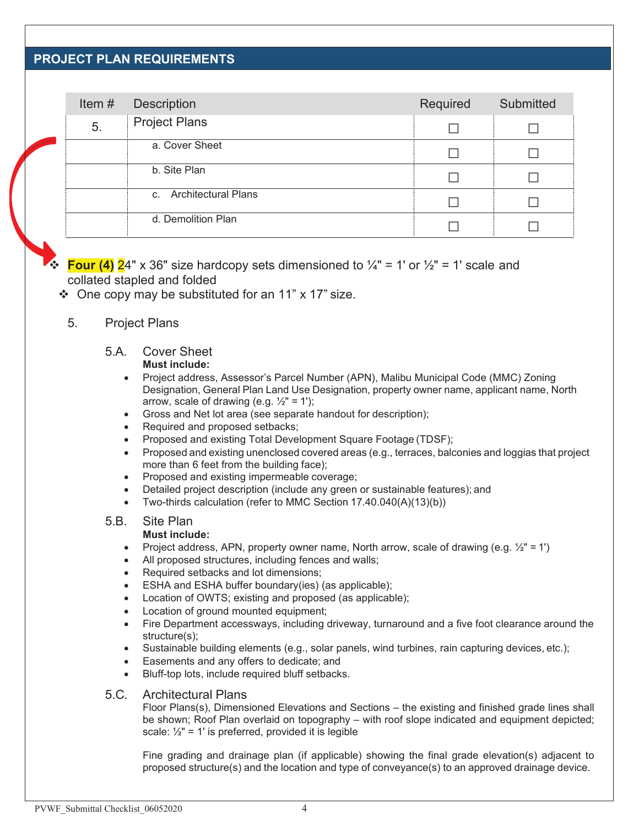#### **PROJECT PLAN REQUIREMENTS**

| Item $#$ | <b>Description</b>     | Required | Submitted |
|----------|------------------------|----------|-----------|
| 5.       | <b>Project Plans</b>   |          |           |
|          | a. Cover Sheet         |          |           |
|          | b. Site Plan           |          |           |
|          | c. Architectural Plans |          |           |
|          | d. Demolition Plan     |          |           |

 $\bullet$  **Four (4)** 24" x 36" size hardcopy sets dimensioned to  $\frac{1}{4}$ " = 1' or  $\frac{1}{2}$ " = 1' scale and collated stapled and folded

- $\div$  One copy may be substituted for an 11" x 17" size.
	- 5. Project Plans

#### 5.A. Cover Sheet **Must include:**

- Project address, Assessor's Parcel Number (APN), Malibu Municipal Code (MMC) Zoning Designation, General Plan Land Use Designation, property owner name, applicant name, North arrow, scale of drawing (e.g.  $\frac{1}{2}$ " = 1');
- Gross and Net lot area (see separate handout for description);
- Required and proposed setbacks;
- Proposed and existing Total Development Square Footage (TDSF);
- Proposed and existing unenclosed covered areas (e.g., terraces, balconies and loggias that project more than 6 feet from the building face);
- Proposed and existing impermeable coverage;
- Detailed project description (include any green or sustainable features); and
- Two-thirds calculation (refer to MMC Section 17.40.040(A)(13)(b))

#### 5.B. Site Plan

#### **Must include:**

- Project address, APN, property owner name, North arrow, scale of drawing (e.g.  $\frac{1}{2}$ " = 1')
- All proposed structures, including fences and walls;
- Required setbacks and lot dimensions;
- ESHA and ESHA buffer boundary(ies) (as applicable);
- Location of OWTS; existing and proposed (as applicable);
- Location of ground mounted equipment:
- Fire Department accessways, including driveway, turnaround and a five foot clearance around the structure(s);
- Sustainable building elements (e.g., solar panels, wind turbines, rain capturing devices, etc.);
- Easements and any offers to dedicate; and
- Bluff-top lots, include required bluff setbacks.

#### 5.C. Architectural Plans

Floor Plans(s), Dimensioned Elevations and Sections – the existing and finished grade lines shall be shown; Roof Plan overlaid on topography – with roof slope indicated and equipment depicted; scale:  $\frac{1}{2}$ " = 1' is preferred, provided it is legible

Fine grading and drainage plan (if applicable) showing the final grade elevation(s) adjacent to proposed structure(s) and the location and type of conveyance(s) to an approved drainage device.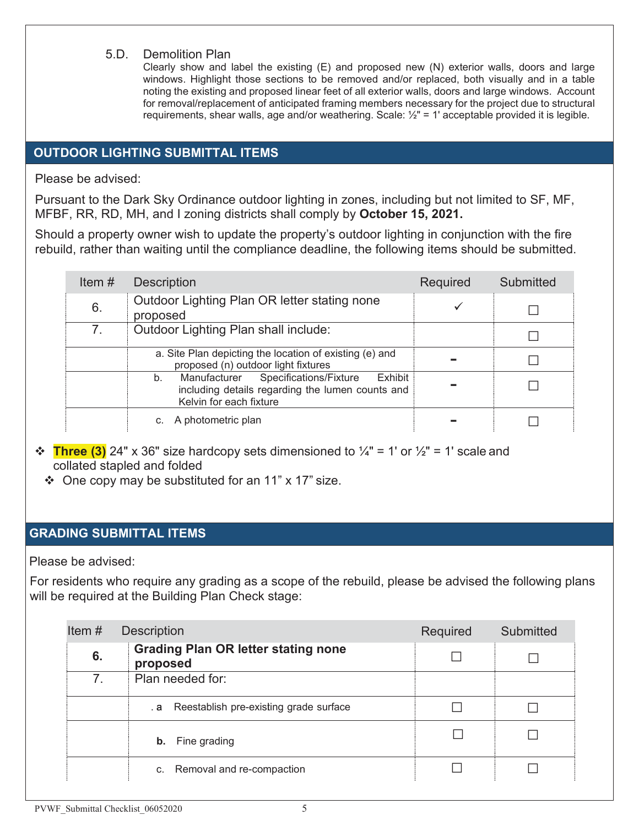#### 5.D. Demolition Plan

Clearly show and label the existing (E) and proposed new (N) exterior walls, doors and large windows. Highlight those sections to be removed and/or replaced, both visually and in a table noting the existing and proposed linear feet of all exterior walls, doors and large windows. Account for removal/replacement of anticipated framing members necessary for the project due to structural requirements, shear walls, age and/or weathering. Scale: ½" = 1' acceptable provided it is legible.

#### **OUTDOOR LIGHTING SUBMITTAL ITEMS**

Please be advised:

Pursuant to the Dark Sky Ordinance outdoor lighting in zones, including but not limited to SF, MF, MFBF, RR, RD, MH, and I zoning districts shall comply by **October 15, 2021.**

Should a property owner wish to update the property's outdoor lighting in conjunction with the fire rebuild, rather than waiting until the compliance deadline, the following items should be submitted.

| Item $#$ | <b>Description</b>                                                                                                                  | Required        | Submitted |
|----------|-------------------------------------------------------------------------------------------------------------------------------------|-----------------|-----------|
| 6.       | Outdoor Lighting Plan OR letter stating none<br>proposed                                                                            |                 |           |
| 7.       | Outdoor Lighting Plan shall include:                                                                                                |                 |           |
|          | a. Site Plan depicting the location of existing (e) and<br>proposed (n) outdoor light fixtures                                      | <b>Contract</b> |           |
|          | Manufacturer Specifications/Fixture<br>Exhibit<br>b.<br>including details regarding the lumen counts and<br>Kelvin for each fixture |                 |           |
|          | c. A photometric plan                                                                                                               |                 |           |

- $\triangleq$  Three (3) 24" x 36" size hardcopy sets dimensioned to  $\frac{1}{4}$ " = 1' or  $\frac{1}{2}$ " = 1' scale and collated stapled and folded
	- $\div$  One copy may be substituted for an 11" x 17" size.

#### **GRADING SUBMITTAL ITEMS**

Please be advised:

For residents who require any grading as a scope of the rebuild, please be advised the following plans will be required at the Building Plan Check stage:

| Item $#$<br><b>Description</b> |                                                        | Required | Submitted |
|--------------------------------|--------------------------------------------------------|----------|-----------|
| 6.                             | <b>Grading Plan OR letter stating none</b><br>proposed |          |           |
| 7 <sub>1</sub>                 | Plan needed for:                                       |          |           |
|                                | . a Reestablish pre-existing grade surface             |          |           |
|                                | Fine grading<br>b.                                     |          |           |
|                                | c. Removal and re-compaction                           |          |           |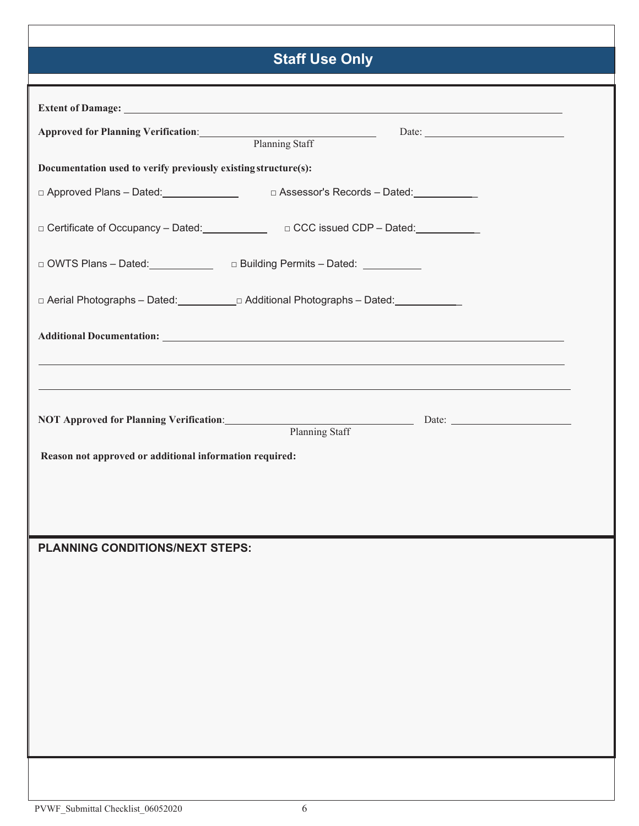### **Staff Use Only**

| Approved for Planning Verification: Planning Staff             | Date:                                                                                                                                                                                                                              |  |
|----------------------------------------------------------------|------------------------------------------------------------------------------------------------------------------------------------------------------------------------------------------------------------------------------------|--|
| Documentation used to verify previously existing structure(s): |                                                                                                                                                                                                                                    |  |
|                                                                | □ Approved Plans - Dated: <u>Contractor Contractors</u> Contracts - Dated: Contract Contract Contract Contract Contract Contract Contract Contract Contract Contract Contract Contract Contract Contract Contract Contract Contrac |  |
|                                                                |                                                                                                                                                                                                                                    |  |
|                                                                | □ Certificate of Occupancy - Dated: <u>University Deckin CCC issued CDP - Dated:</u>                                                                                                                                               |  |
|                                                                | □ OWTS Plans - Dated: <u>_________________________________</u> Building Permits - Dated: ______________                                                                                                                            |  |
|                                                                | □ Aerial Photographs - Dated: University Delayational Photographs - Dated: University Delayational Photographs -                                                                                                                   |  |
|                                                                |                                                                                                                                                                                                                                    |  |
|                                                                |                                                                                                                                                                                                                                    |  |
|                                                                | ,我们也不能会有一个人的事情。""我们的人们是不是我们的人,我们也不能会有一个人的人,我们也不能会有一个人的人,我们也不能会有一个人的人,我们也不能会有一个人的                                                                                                                                                   |  |
|                                                                | ,我们也不会有什么。""我们的人,我们也不会有什么?""我们的人,我们也不会有什么?""我们的人,我们也不会有什么?""我们的人,我们也不会有什么?""我们的人                                                                                                                                                   |  |
|                                                                | NOT Approved for Planning Verification: Planning Staff Date: 2014.                                                                                                                                                                 |  |
|                                                                |                                                                                                                                                                                                                                    |  |
| Reason not approved or additional information required:        |                                                                                                                                                                                                                                    |  |
|                                                                |                                                                                                                                                                                                                                    |  |
|                                                                |                                                                                                                                                                                                                                    |  |
| PLANNING CONDITIONS/NEXT STEPS:                                |                                                                                                                                                                                                                                    |  |
|                                                                |                                                                                                                                                                                                                                    |  |
|                                                                |                                                                                                                                                                                                                                    |  |
|                                                                |                                                                                                                                                                                                                                    |  |
|                                                                |                                                                                                                                                                                                                                    |  |
|                                                                |                                                                                                                                                                                                                                    |  |
|                                                                |                                                                                                                                                                                                                                    |  |
|                                                                |                                                                                                                                                                                                                                    |  |
|                                                                |                                                                                                                                                                                                                                    |  |
|                                                                |                                                                                                                                                                                                                                    |  |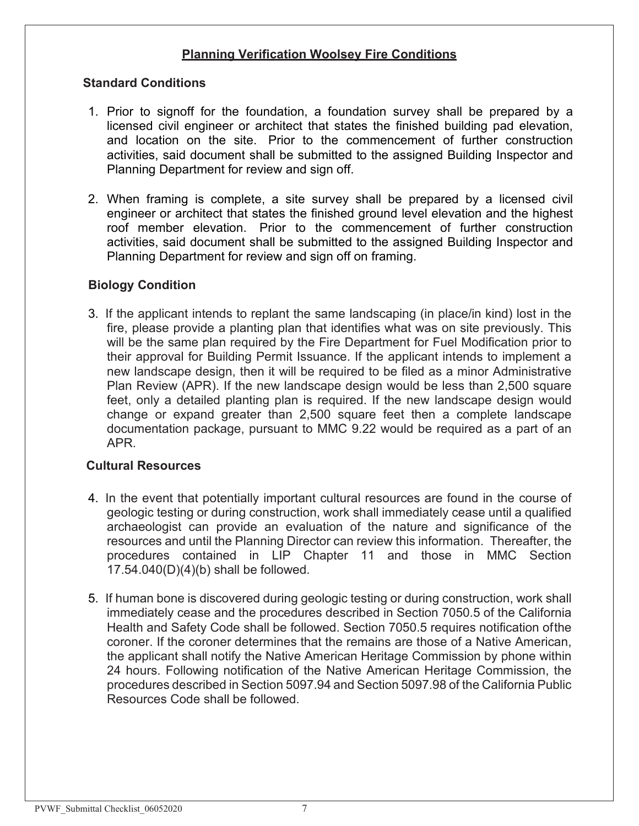#### **Planning Verification Woolsey Fire Conditions**

#### **Standard Conditions**

- 1. Prior to signoff for the foundation, a foundation survey shall be prepared by a licensed civil engineer or architect that states the finished building pad elevation, and location on the site. Prior to the commencement of further construction activities, said document shall be submitted to the assigned Building Inspector and Planning Department for review and sign off.
- 2. When framing is complete, a site survey shall be prepared by a licensed civil engineer or architect that states the finished ground level elevation and the highest roof member elevation. Prior to the commencement of further construction activities, said document shall be submitted to the assigned Building Inspector and Planning Department for review and sign off on framing.

#### **Biology Condition**

3. If the applicant intends to replant the same landscaping (in place/in kind) lost in the fire, please provide a planting plan that identifies what was on site previously. This will be the same plan required by the Fire Department for Fuel Modification prior to their approval for Building Permit Issuance. If the applicant intends to implement a new landscape design, then it will be required to be filed as a minor Administrative Plan Review (APR). If the new landscape design would be less than 2,500 square feet, only a detailed planting plan is required. If the new landscape design would change or expand greater than 2,500 square feet then a complete landscape documentation package, pursuant to MMC 9.22 would be required as a part of an APR.

#### **Cultural Resources**

- 4. In the event that potentially important cultural resources are found in the course of geologic testing or during construction, work shall immediately cease until a qualified archaeologist can provide an evaluation of the nature and significance of the resources and until the Planning Director can review this information. Thereafter, the procedures contained in LIP Chapter 11 and those in MMC Section 17.54.040(D)(4)(b) shall be followed.
- 5. If human bone is discovered during geologic testing or during construction, work shall immediately cease and the procedures described in Section 7050.5 of the California Health and Safety Code shall be followed. Section 7050.5 requires notification ofthe coroner. If the coroner determines that the remains are those of a Native American, the applicant shall notify the Native American Heritage Commission by phone within 24 hours. Following notification of the Native American Heritage Commission, the procedures described in Section 5097.94 and Section 5097.98 of the California Public Resources Code shall be followed.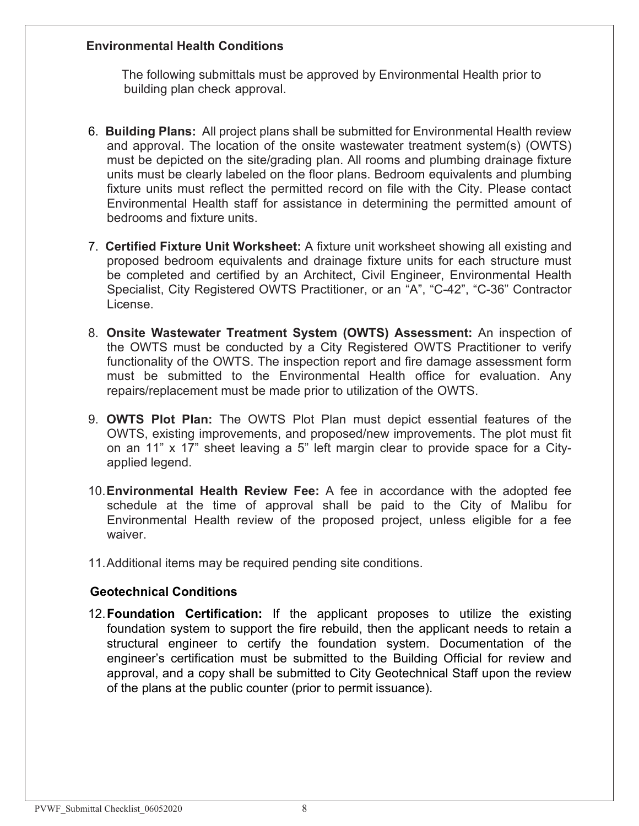#### **Environmental Health Conditions**

The following submittals must be approved by Environmental Health prior to building plan check approval.

- 6. **Building Plans:** All project plans shall be submitted for Environmental Health review and approval. The location of the onsite wastewater treatment system(s) (OWTS) must be depicted on the site/grading plan. All rooms and plumbing drainage fixture units must be clearly labeled on the floor plans. Bedroom equivalents and plumbing fixture units must reflect the permitted record on file with the City. Please contact Environmental Health staff for assistance in determining the permitted amount of bedrooms and fixture units.
- 7. **Certified Fixture Unit Worksheet:** A fixture unit worksheet showing all existing and proposed bedroom equivalents and drainage fixture units for each structure must be completed and certified by an Architect, Civil Engineer, Environmental Health Specialist, City Registered OWTS Practitioner, or an "A", "C-42", "C-36" Contractor License.
- 8. **Onsite Wastewater Treatment System (OWTS) Assessment:** An inspection of the OWTS must be conducted by a City Registered OWTS Practitioner to verify functionality of the OWTS. The inspection report and fire damage assessment form must be submitted to the Environmental Health office for evaluation. Any repairs/replacement must be made prior to utilization of the OWTS.
- 9. **OWTS Plot Plan:** The OWTS Plot Plan must depict essential features of the OWTS, existing improvements, and proposed/new improvements. The plot must fit on an 11" x 17" sheet leaving a 5" left margin clear to provide space for a Cityapplied legend.
- 10.**Environmental Health Review Fee:** A fee in accordance with the adopted fee schedule at the time of approval shall be paid to the City of Malibu for Environmental Health review of the proposed project, unless eligible for a fee waiver.
- 11.Additional items may be required pending site conditions.

#### **Geotechnical Conditions**

12.**Foundation Certification:** If the applicant proposes to utilize the existing foundation system to support the fire rebuild, then the applicant needs to retain a structural engineer to certify the foundation system. Documentation of the engineer's certification must be submitted to the Building Official for review and approval, and a copy shall be submitted to City Geotechnical Staff upon the review of the plans at the public counter (prior to permit issuance).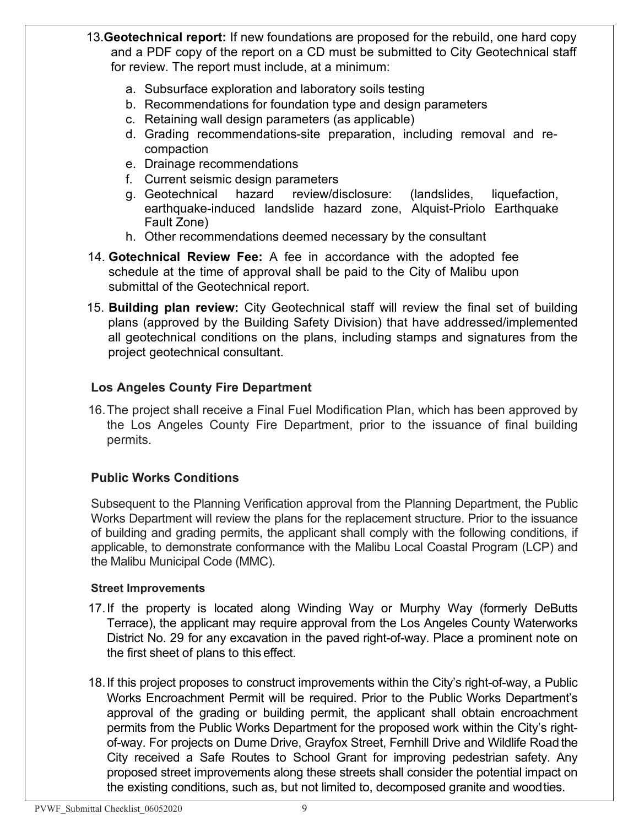- 13.**Geotechnical report:** If new foundations are proposed for the rebuild, one hard copy and a PDF copy of the report on a CD must be submitted to City Geotechnical staff for review. The report must include, at a minimum:
	- a. Subsurface exploration and laboratory soils testing
	- b. Recommendations for foundation type and design parameters
	- c. Retaining wall design parameters (as applicable)
	- d. Grading recommendations-site preparation, including removal and recompaction
	- e. Drainage recommendations
	- f. Current seismic design parameters
	- g. Geotechnical hazard review/disclosure: (landslides, liquefaction, earthquake-induced landslide hazard zone, Alquist-Priolo Earthquake Fault Zone)
	- h. Other recommendations deemed necessary by the consultant
- 14. **Gotechnical Review Fee:** A fee in accordance with the adopted fee schedule at the time of approval shall be paid to the City of Malibu upon submittal of the Geotechnical report.
- 15. **Building plan review:** City Geotechnical staff will review the final set of building plans (approved by the Building Safety Division) that have addressed/implemented all geotechnical conditions on the plans, including stamps and signatures from the project geotechnical consultant.

#### **Los Angeles County Fire Department**

16.The project shall receive a Final Fuel Modification Plan, which has been approved by the Los Angeles County Fire Department, prior to the issuance of final building permits.

#### **Public Works Conditions**

Subsequent to the Planning Verification approval from the Planning Department, the Public Works Department will review the plans for the replacement structure. Prior to the issuance of building and grading permits, the applicant shall comply with the following conditions, if applicable, to demonstrate conformance with the Malibu Local Coastal Program (LCP) and the Malibu Municipal Code (MMC).

#### **Street Improvements**

- 17.If the property is located along Winding Way or Murphy Way (formerly DeButts Terrace), the applicant may require approval from the Los Angeles County Waterworks District No. 29 for any excavation in the paved right-of-way. Place a prominent note on the first sheet of plans to this effect.
- 18.If this project proposes to construct improvements within the City's right-of-way, a Public Works Encroachment Permit will be required. Prior to the Public Works Department's approval of the grading or building permit, the applicant shall obtain encroachment permits from the Public Works Department for the proposed work within the City's rightof-way. For projects on Dume Drive, Grayfox Street, Fernhill Drive and Wildlife Road the City received a Safe Routes to School Grant for improving pedestrian safety. Any proposed street improvements along these streets shall consider the potential impact on the existing conditions, such as, but not limited to, decomposed granite and woodties.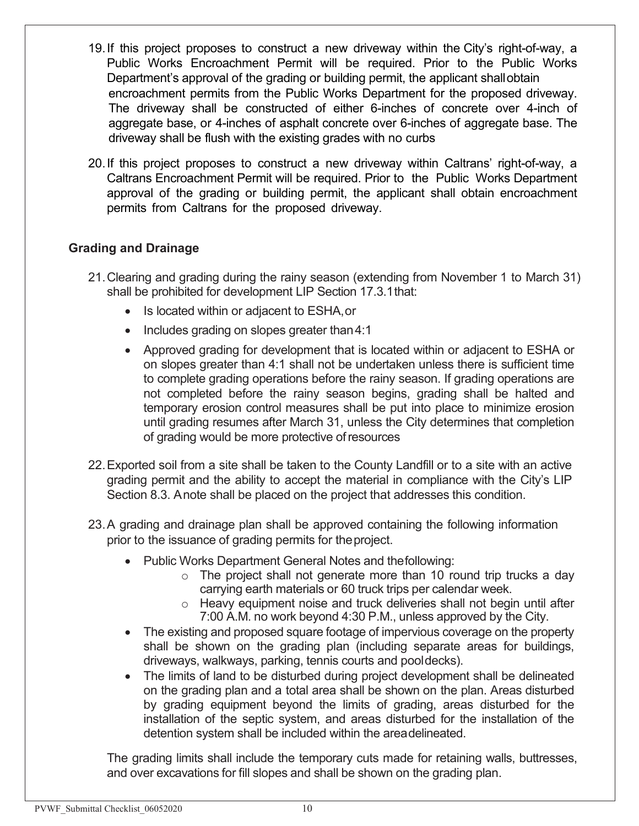- 19.If this project proposes to construct a new driveway within the City's right-of-way, a Public Works Encroachment Permit will be required. Prior to the Public Works Department's approval of the grading or building permit, the applicant shallobtain encroachment permits from the Public Works Department for the proposed driveway. The driveway shall be constructed of either 6-inches of concrete over 4-inch of aggregate base, or 4-inches of asphalt concrete over 6-inches of aggregate base. The driveway shall be flush with the existing grades with no curbs
- 20.If this project proposes to construct a new driveway within Caltrans' right-of-way, a Caltrans Encroachment Permit will be required. Prior to the Public Works Department approval of the grading or building permit, the applicant shall obtain encroachment permits from Caltrans for the proposed driveway.

#### **Grading and Drainage**

- 21.Clearing and grading during the rainy season (extending from November 1 to March 31) shall be prohibited for development LIP Section 17.3.1that:
	- Is located within or adjacent to ESHA,or
	- Includes grading on slopes greater than 4:1
	- Approved grading for development that is located within or adjacent to ESHA or on slopes greater than 4:1 shall not be undertaken unless there is sufficient time to complete grading operations before the rainy season. If grading operations are not completed before the rainy season begins, grading shall be halted and temporary erosion control measures shall be put into place to minimize erosion until grading resumes after March 31, unless the City determines that completion of grading would be more protective ofresources
- 22.Exported soil from a site shall be taken to the County Landfill or to a site with an active grading permit and the ability to accept the material in compliance with the City's LIP Section 8.3. Anote shall be placed on the project that addresses this condition.
- 23.A grading and drainage plan shall be approved containing the following information prior to the issuance of grading permits for theproject.
	- Public Works Department General Notes and thefollowing:
		- $\circ$  The project shall not generate more than 10 round trip trucks a day carrying earth materials or 60 truck trips per calendar week.
		- $\circ$  Heavy equipment noise and truck deliveries shall not begin until after 7:00 A.M. no work beyond 4:30 P.M., unless approved by the City.
	- The existing and proposed square footage of impervious coverage on the property shall be shown on the grading plan (including separate areas for buildings, driveways, walkways, parking, tennis courts and pooldecks).
	- The limits of land to be disturbed during project development shall be delineated on the grading plan and a total area shall be shown on the plan. Areas disturbed by grading equipment beyond the limits of grading, areas disturbed for the installation of the septic system, and areas disturbed for the installation of the detention system shall be included within the areadelineated.

The grading limits shall include the temporary cuts made for retaining walls, buttresses, and over excavations for fill slopes and shall be shown on the grading plan.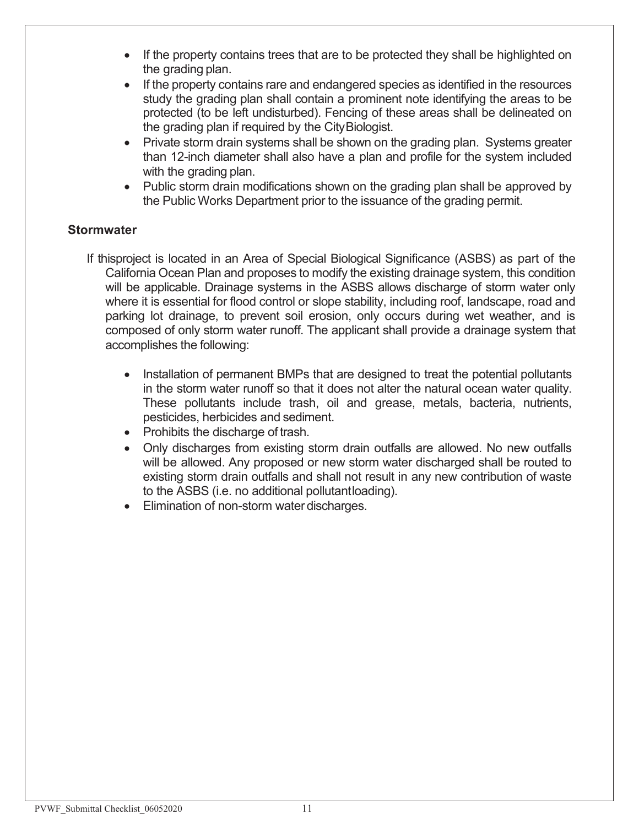- If the property contains trees that are to be protected they shall be highlighted on the grading plan.
- If the property contains rare and endangered species as identified in the resources study the grading plan shall contain a prominent note identifying the areas to be protected (to be left undisturbed). Fencing of these areas shall be delineated on the grading plan if required by the CityBiologist.
- Private storm drain systems shall be shown on the grading plan. Systems greater than 12-inch diameter shall also have a plan and profile for the system included with the grading plan.
- Public storm drain modifications shown on the grading plan shall be approved by the Public Works Department prior to the issuance of the grading permit.

#### **Stormwater**

- If thisproject is located in an Area of Special Biological Significance (ASBS) as part of the California Ocean Plan and proposes to modify the existing drainage system, this condition will be applicable. Drainage systems in the ASBS allows discharge of storm water only where it is essential for flood control or slope stability, including roof, landscape, road and parking lot drainage, to prevent soil erosion, only occurs during wet weather, and is composed of only storm water runoff. The applicant shall provide a drainage system that accomplishes the following:
	- Installation of permanent BMPs that are designed to treat the potential pollutants in the storm water runoff so that it does not alter the natural ocean water quality. These pollutants include trash, oil and grease, metals, bacteria, nutrients, pesticides, herbicides and sediment.
	- Prohibits the discharge of trash.
	- Only discharges from existing storm drain outfalls are allowed. No new outfalls will be allowed. Any proposed or new storm water discharged shall be routed to existing storm drain outfalls and shall not result in any new contribution of waste to the ASBS (i.e. no additional pollutantloading).
	- Elimination of non-storm water discharges.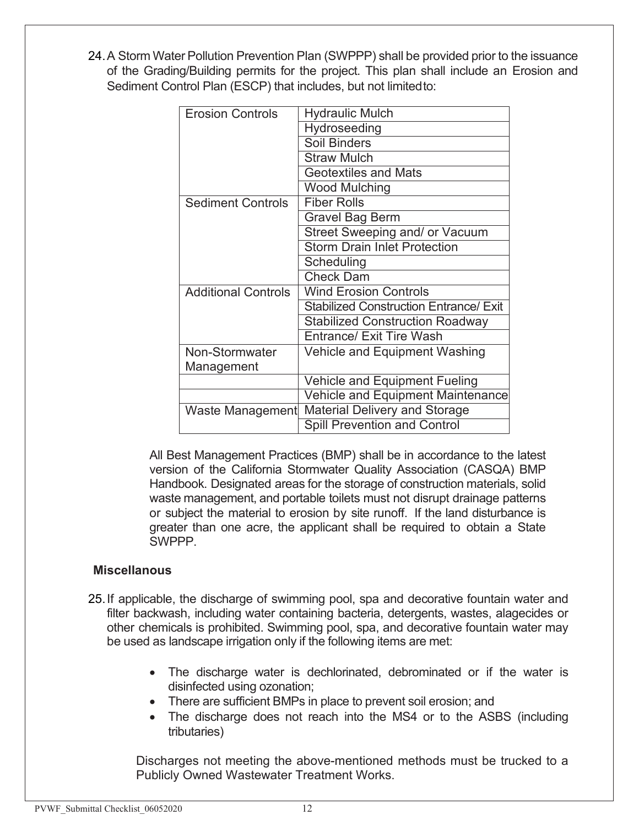24.A Storm Water Pollution Prevention Plan (SWPPP) shall be provided prior to the issuance of the Grading/Building permits for the project. This plan shall include an Erosion and Sediment Control Plan (ESCP) that includes, but not limitedto:

| <b>Erosion Controls</b>    | <b>Hydraulic Mulch</b>                        |
|----------------------------|-----------------------------------------------|
|                            | Hydroseeding                                  |
|                            | Soil Binders                                  |
|                            | <b>Straw Mulch</b>                            |
|                            | <b>Geotextiles and Mats</b>                   |
|                            | <b>Wood Mulching</b>                          |
| <b>Sediment Controls</b>   | <b>Fiber Rolls</b>                            |
|                            | <b>Gravel Bag Berm</b>                        |
|                            | Street Sweeping and/ or Vacuum                |
|                            | <b>Storm Drain Inlet Protection</b>           |
|                            | Scheduling                                    |
|                            | <b>Check Dam</b>                              |
| <b>Additional Controls</b> | <b>Wind Erosion Controls</b>                  |
|                            | <b>Stabilized Construction Entrance/ Exit</b> |
|                            | <b>Stabilized Construction Roadway</b>        |
|                            | <b>Entrance/ Exit Tire Wash</b>               |
| <b>Non-Stormwater</b>      | Vehicle and Equipment Washing                 |
| Management                 |                                               |
|                            | <b>Vehicle and Equipment Fueling</b>          |
|                            | Vehicle and Equipment Maintenance             |
| Waste Management           | <b>Material Delivery and Storage</b>          |
|                            | <b>Spill Prevention and Control</b>           |

All Best Management Practices (BMP) shall be in accordance to the latest version of the California Stormwater Quality Association (CASQA) BMP Handbook. Designated areas for the storage of construction materials, solid waste management, and portable toilets must not disrupt drainage patterns or subject the material to erosion by site runoff. If the land disturbance is greater than one acre, the applicant shall be required to obtain a State SWPPP.

#### **Miscellanous**

- 25.If applicable, the discharge of swimming pool, spa and decorative fountain water and filter backwash, including water containing bacteria, detergents, wastes, alagecides or other chemicals is prohibited. Swimming pool, spa, and decorative fountain water may be used as landscape irrigation only if the following items are met:
	- The discharge water is dechlorinated, debrominated or if the water is disinfected using ozonation;
	- There are sufficient BMPs in place to prevent soil erosion; and
	- The discharge does not reach into the MS4 or to the ASBS (including tributaries)

Discharges not meeting the above-mentioned methods must be trucked to a Publicly Owned Wastewater Treatment Works.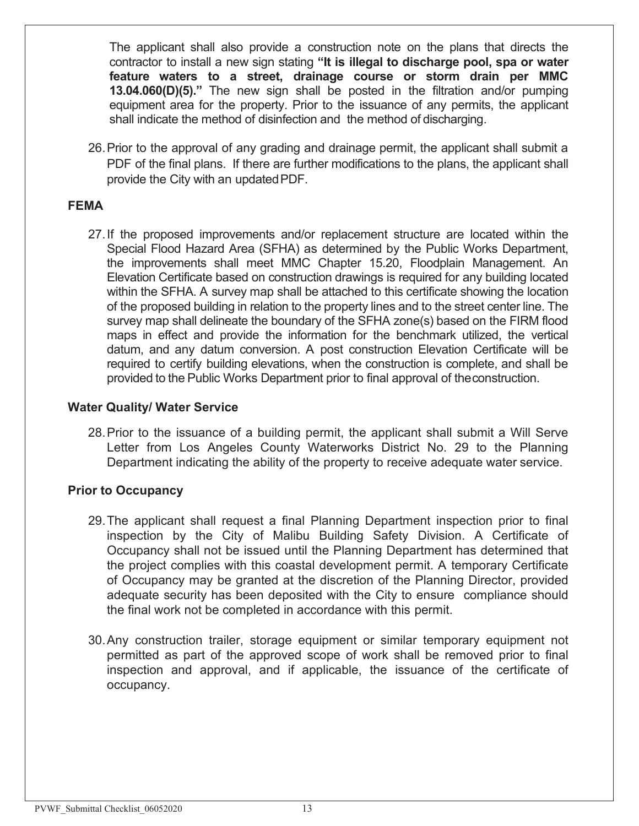The applicant shall also provide a construction note on the plans that directs the contractor to install a new sign stating **"It is illegal to discharge pool, spa or water feature waters to a street, drainage course or storm drain per MMC 13.04.060(D)(5)."** The new sign shall be posted in the filtration and/or pumping equipment area for the property. Prior to the issuance of any permits, the applicant shall indicate the method of disinfection and the method of discharging.

26.Prior to the approval of any grading and drainage permit, the applicant shall submit a PDF of the final plans. If there are further modifications to the plans, the applicant shall provide the City with an updatedPDF.

#### **FEMA**

27.If the proposed improvements and/or replacement structure are located within the Special Flood Hazard Area (SFHA) as determined by the Public Works Department, the improvements shall meet MMC Chapter 15.20, Floodplain Management. An Elevation Certificate based on construction drawings is required for any building located within the SFHA. A survey map shall be attached to this certificate showing the location of the proposed building in relation to the property lines and to the street center line. The survey map shall delineate the boundary of the SFHA zone(s) based on the FIRM flood maps in effect and provide the information for the benchmark utilized, the vertical datum, and any datum conversion. A post construction Elevation Certificate will be required to certify building elevations, when the construction is complete, and shall be provided to the Public Works Department prior to final approval of theconstruction.

#### **Water Quality/ Water Service**

28.Prior to the issuance of a building permit, the applicant shall submit a Will Serve Letter from Los Angeles County Waterworks District No. 29 to the Planning Department indicating the ability of the property to receive adequate water service.

#### **Prior to Occupancy**

- 29.The applicant shall request a final Planning Department inspection prior to final inspection by the City of Malibu Building Safety Division. A Certificate of Occupancy shall not be issued until the Planning Department has determined that the project complies with this coastal development permit. A temporary Certificate of Occupancy may be granted at the discretion of the Planning Director, provided adequate security has been deposited with the City to ensure compliance should the final work not be completed in accordance with this permit.
- 30.Any construction trailer, storage equipment or similar temporary equipment not permitted as part of the approved scope of work shall be removed prior to final inspection and approval, and if applicable, the issuance of the certificate of occupancy.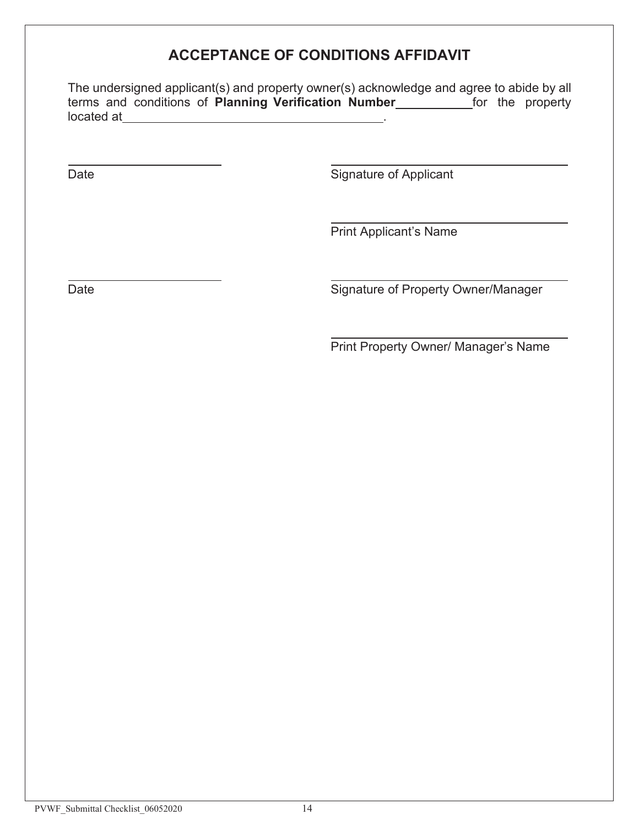### **ACCEPTANCE OF CONDITIONS AFFIDAVIT**

The undersigned applicant(s) and property owner(s) acknowledge and agree to abide by all terms and conditions of **Planning Verification Number\_\_\_\_\_\_\_\_\_\_\_** for the property located at

Date **Signature of Applicant** 

Print Applicant's Name

Date **Signature of Property Owner/Manager** Signature of Property Owner/Manager

Print Property Owner/ Manager's Name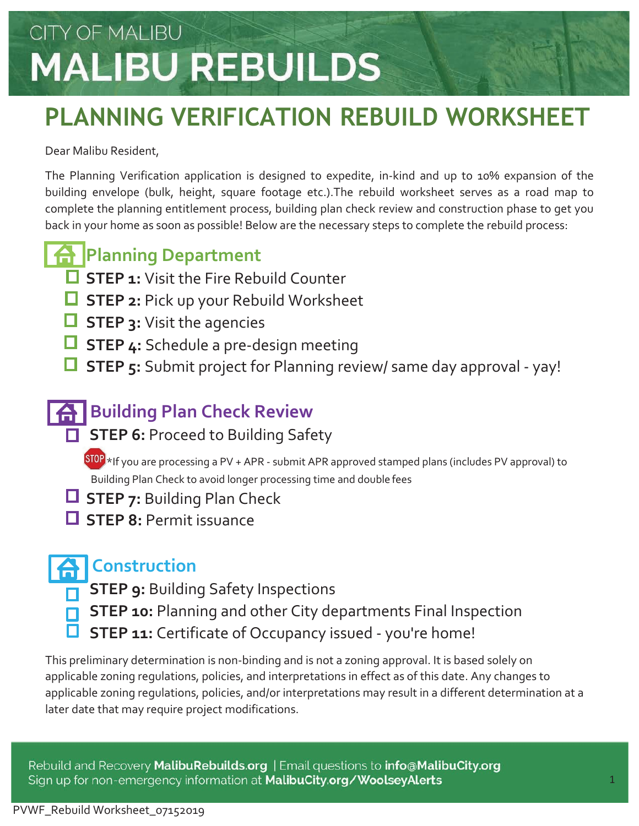## **PLANNING VERIFICATION REBUILD WORKSHEET**

### Dear Malibu Resident,

The Planning Verification application is designed to expedite, in-kind and up to 10% expansion of the building envelope (bulk, height, square footage etc.).The rebuild worksheet serves as a road map to complete the planning entitlement process, building plan check review and construction phase to get you back in your home as soon as possible! Below are the necessary steps to complete the rebuild process:

### **A** Planning Department

- **STEP 1:** Visit the Fire Rebuild Counter
- **STEP 2: Pick up your Rebuild Worksheet**
- **STEP 3: Visit the agencies**
- **STEP 4:** Schedule a pre-design meeting
- **STEP 5:** Submit project for Planning review/ same day approval yay!

### **A** Building Plan Check Review

**STEP 6: Proceed to Building Safety** 

STOP \*If you are processing a PV + APR - submit APR approved stamped plans (includes PV approval) to Building Plan Check to avoid longer processing time and double fees

- **STEP 7: Building Plan Check**
- **STEP 8: Permit issuance**

### **Construction**

- **STEP 9:** Building Safety Inspections
	- **STEP 10:** Planning and other City departments Final Inspection
- **STEP 11:** Certificate of Occupancy issued you're home!

This preliminary determination is non-binding and is not a zoning approval. It is based solely on applicable zoning regulations, policies, and interpretations in effect as of this date. Any changes to applicable zoning regulations, policies, and/or interpretations may result in a different determination at a later date that may require project modifications.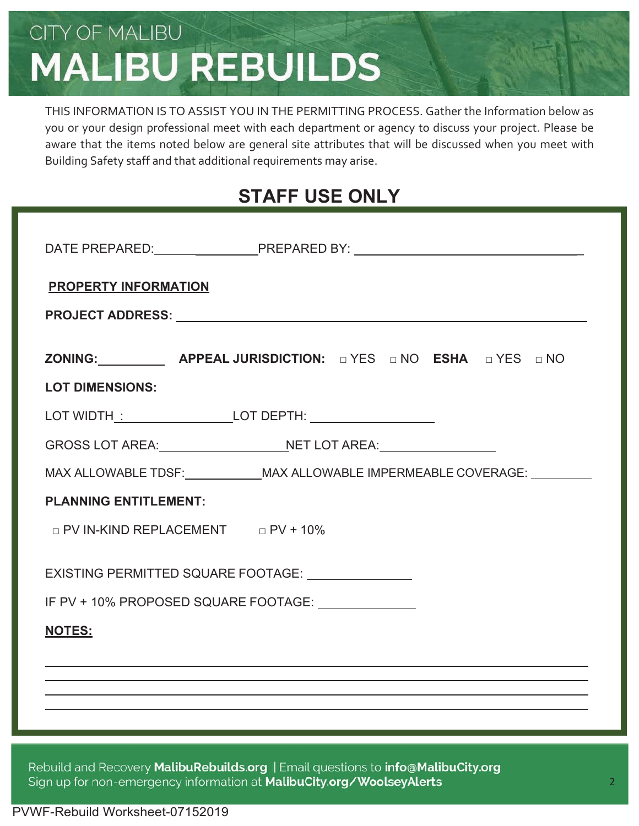THIS INFORMATION IS TO ASSIST YOU IN THE PERMITTING PROCESS. Gather the Information below as you or your design professional meet with each department or agency to discuss your project. Please be aware that the items noted below are general site attributes that will be discussed when you meet with Building Safety staff and that additional requirements may arise.

### **STAFF USE ONLY**

| <b>PROPERTY INFORMATION</b>                                                     |  |  |  |
|---------------------------------------------------------------------------------|--|--|--|
|                                                                                 |  |  |  |
| ZONING: APPEAL JURISDICTION: DYES DNO ESHA DYES DNO                             |  |  |  |
| <b>LOT DIMENSIONS:</b>                                                          |  |  |  |
|                                                                                 |  |  |  |
|                                                                                 |  |  |  |
| MAX ALLOWABLE TDSF:_____________MAX ALLOWABLE IMPERMEABLE COVERAGE: ___________ |  |  |  |
| <b>PLANNING ENTITLEMENT:</b>                                                    |  |  |  |
| D PV IN-KIND REPLACEMENT D PV + 10%                                             |  |  |  |
| EXISTING PERMITTED SQUARE FOOTAGE: _______________                              |  |  |  |
| IF PV + 10% PROPOSED SQUARE FOOTAGE: ______________                             |  |  |  |
| <b>NOTES:</b>                                                                   |  |  |  |
|                                                                                 |  |  |  |
|                                                                                 |  |  |  |
|                                                                                 |  |  |  |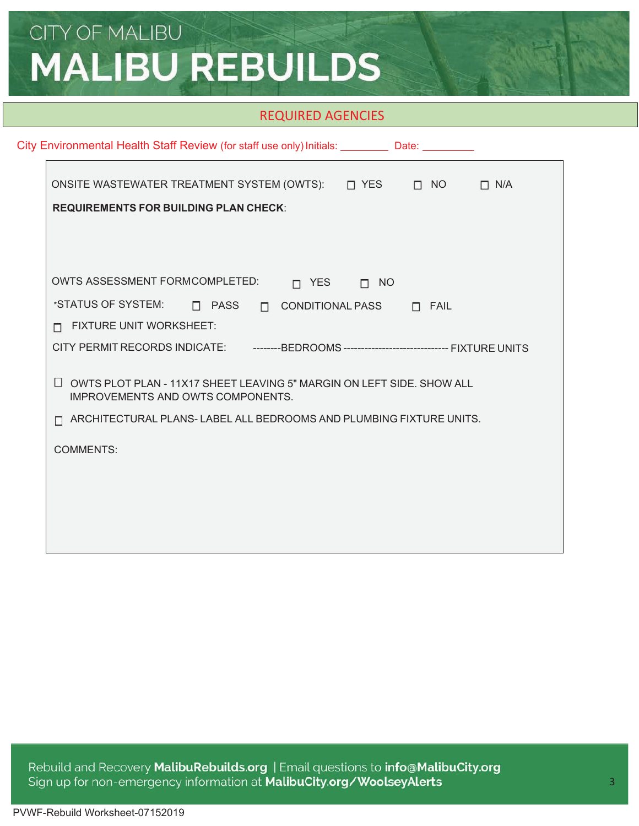#### REQUIRED AGENCIES

| City Environmental Health Staff Review (for staff use only) Initials: University Date: University Pro                                                 |
|-------------------------------------------------------------------------------------------------------------------------------------------------------|
| ONSITE WASTEWATER TREATMENT SYSTEM (OWTS): □ YES □ NO<br>$\Box$ N/A<br><b>REQUIREMENTS FOR BUILDING PLAN CHECK:</b>                                   |
| <b>OWTS ASSESSMENT FORMCOMPLETED:</b><br>$\Box$ YES $\Box$ NO<br>*STATUS OF SYSTEM: D PASS D CONDITIONAL PASS D FAIL<br>FIXTURE UNIT WORKSHEET:<br>п. |
|                                                                                                                                                       |
| $\Box$ OWTS PLOT PLAN - 11X17 SHEET LEAVING 5" MARGIN ON LEFT SIDE. SHOW ALL<br><b>IMPROVEMENTS AND OWTS COMPONENTS.</b>                              |
| $\Box$ ARCHITECTURAL PLANS-LABEL ALL BEDROOMS AND PLUMBING FIXTURE UNITS.                                                                             |
| <b>COMMENTS:</b>                                                                                                                                      |
|                                                                                                                                                       |
|                                                                                                                                                       |
|                                                                                                                                                       |
|                                                                                                                                                       |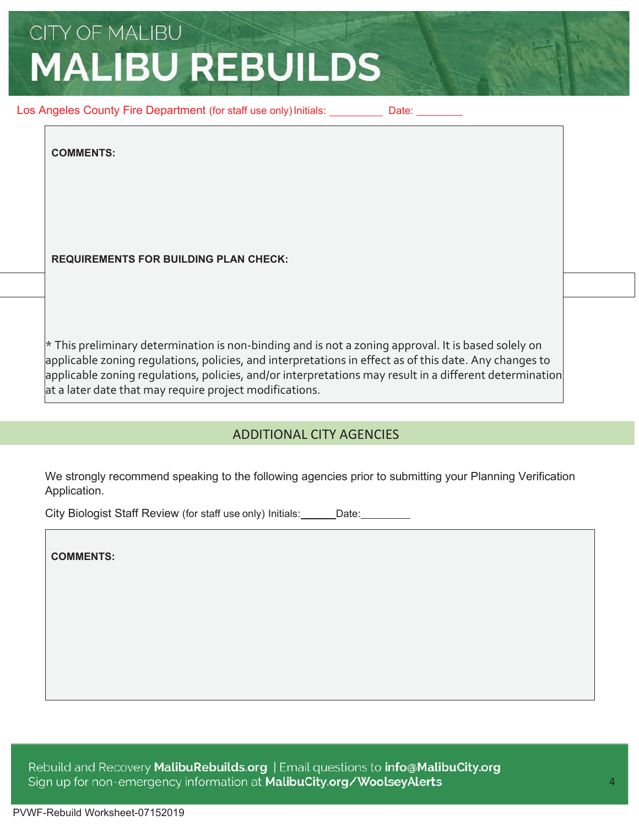Los Angeles County Fire Department (for staff use only) Initials: Date: Date:

**COMMENTS:**

**REQUIREMENTS FOR BUILDING PLAN CHECK:**

\* This preliminary determination is non-binding and is not a zoning approval. It is based solely on applicable zoning regulations, policies, and interpretations in effect as of this date. Any changes to applicable zoning regulations, policies, and/or interpretations may result in a different determination at a later date that may require project modifications.

### ADDITIONAL CITY AGENCIES

We strongly recommend speaking to the following agencies prior to submitting your Planning Verification Application.

City Biologist Staff Review (for staff use only) Initials: Date:

**COMMENTS:**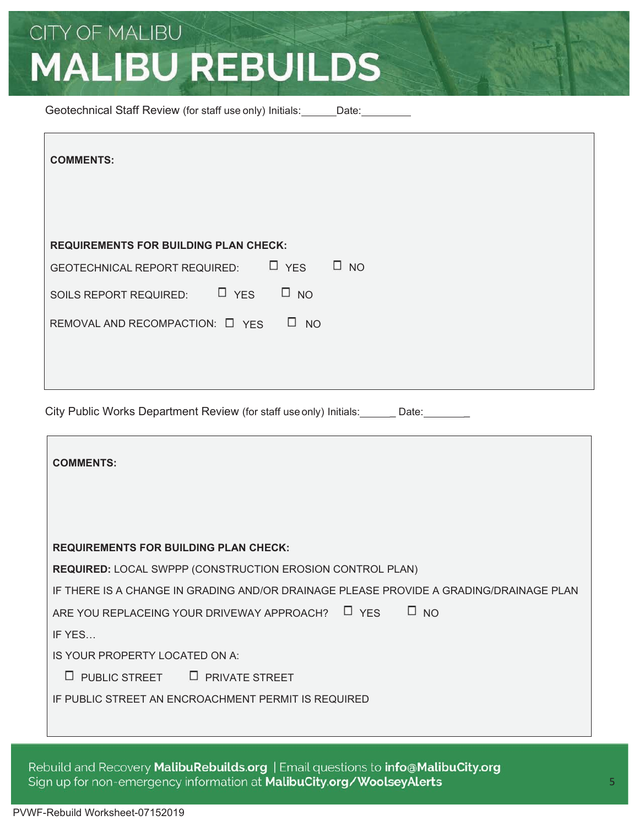Geotechnical Staff Review (for staff use only) Initials: Date:

City Public Works Department Review (for staff use only) Initials: Date:

| <b>COMMENTS:</b>                                                                       |  |  |
|----------------------------------------------------------------------------------------|--|--|
|                                                                                        |  |  |
|                                                                                        |  |  |
| <b>REQUIREMENTS FOR BUILDING PLAN CHECK:</b>                                           |  |  |
| <b>REQUIRED: LOCAL SWPPP (CONSTRUCTION EROSION CONTROL PLAN)</b>                       |  |  |
| IF THERE IS A CHANGE IN GRADING AND/OR DRAINAGE PLEASE PROVIDE A GRADING/DRAINAGE PLAN |  |  |
| $\Box$ YES<br>$\Box$ NO<br>ARE YOU REPLACEING YOUR DRIVEWAY APPROACH?                  |  |  |
| IF YES                                                                                 |  |  |
| IS YOUR PROPERTY LOCATED ON A:                                                         |  |  |
| PUBLIC STREET D PRIVATE STREET<br>u                                                    |  |  |
| IF PUBLIC STREET AN ENCROACHMENT PERMIT IS REQUIRED                                    |  |  |
|                                                                                        |  |  |

Rebuild and Recovery MalibuRebuilds.org | Email questions to info@MalibuCity.org Sign up for non-emergency information at MalibuCity.org/WoolseyAlerts

Г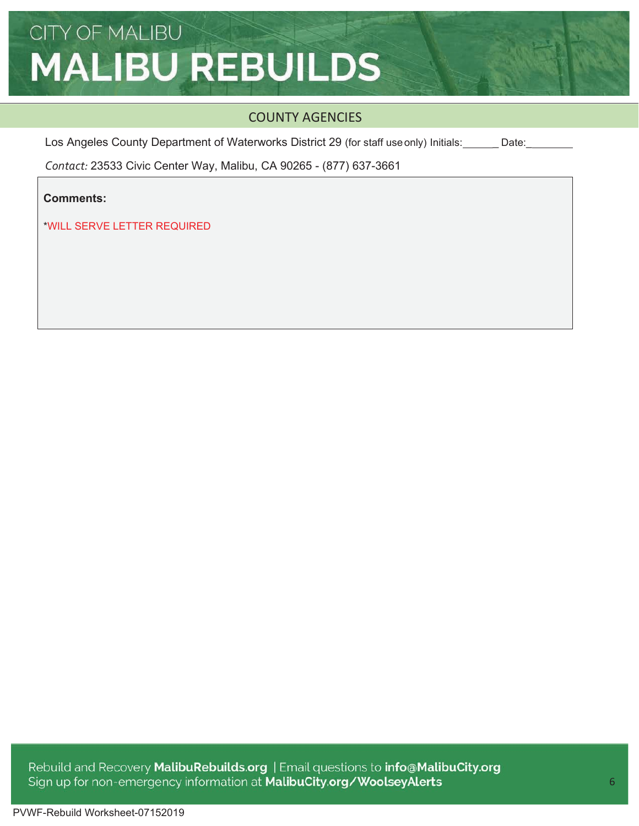### COUNTY AGENCIES

Los Angeles County Department of Waterworks District 29 (for staff use only) Initials: Date:

*Contact:* 23533 Civic Center Way, Malibu, CA 90265 - (877) 637-3661

**Comments:**

\*WILL SERVE LETTER REQUIRED